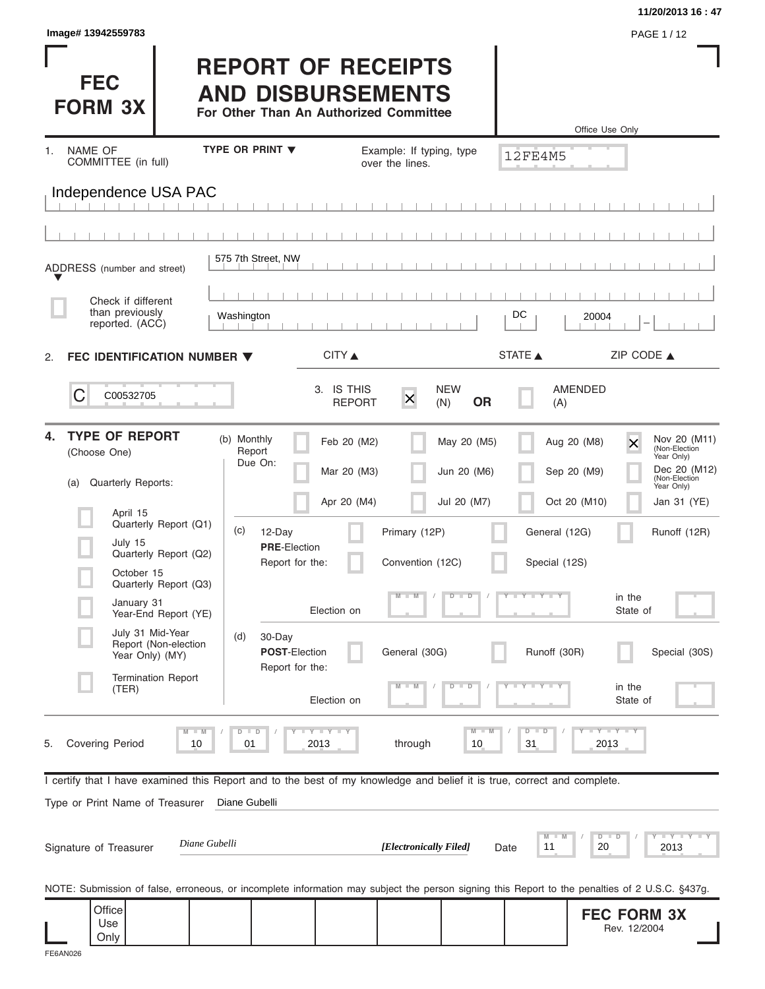|                                                                                                                                                |                                                                                                 |                             |                                                           |                            | 11/20/2013 16:47                                                                                                                                        |
|------------------------------------------------------------------------------------------------------------------------------------------------|-------------------------------------------------------------------------------------------------|-----------------------------|-----------------------------------------------------------|----------------------------|---------------------------------------------------------------------------------------------------------------------------------------------------------|
| Image# 13942559783                                                                                                                             |                                                                                                 |                             |                                                           |                            | PAGE 1 / 12                                                                                                                                             |
| <b>FEC</b><br><b>FORM 3X</b>                                                                                                                   | <b>REPORT OF RECEIPTS</b><br><b>AND DISBURSEMENTS</b><br>For Other Than An Authorized Committee |                             |                                                           |                            | Office Use Only                                                                                                                                         |
| NAME OF<br>1.                                                                                                                                  | <b>TYPE OR PRINT ▼</b>                                                                          |                             | Example: If typing, type                                  |                            |                                                                                                                                                         |
| COMMITTEE (in full)                                                                                                                            |                                                                                                 |                             | over the lines.                                           | 12FE4M5                    |                                                                                                                                                         |
| Independence USA PAC                                                                                                                           |                                                                                                 |                             |                                                           |                            |                                                                                                                                                         |
|                                                                                                                                                | 575 7th Street, NW                                                                              |                             |                                                           |                            |                                                                                                                                                         |
| ADDRESS (number and street)                                                                                                                    |                                                                                                 |                             |                                                           |                            |                                                                                                                                                         |
| Check if different                                                                                                                             |                                                                                                 |                             |                                                           |                            |                                                                                                                                                         |
| than previously<br>reported. (ACC)                                                                                                             | Washington                                                                                      |                             |                                                           | DC                         | 20004                                                                                                                                                   |
| FEC IDENTIFICATION NUMBER $\blacktriangledown$<br>2.                                                                                           |                                                                                                 | CITY                        |                                                           | STATE A                    | ZIP CODE $\triangle$                                                                                                                                    |
| C<br>C00532705                                                                                                                                 |                                                                                                 | 3. IS THIS<br><b>REPORT</b> | <b>NEW</b><br>$\overline{\mathsf{x}}$<br><b>OR</b><br>(N) | AMENDED<br>(A)             |                                                                                                                                                         |
| <b>TYPE OF REPORT</b><br>4.<br>(Choose One)<br>Quarterly Reports:<br>(a)                                                                       | (b) Monthly<br>Report<br>Due On:                                                                | Feb 20 (M2)<br>Mar 20 (M3)  | May 20 (M5)<br>Jun 20 (M6)                                | Aug 20 (M8)<br>Sep 20 (M9) | Nov 20 (M11)<br>$\overline{\mathsf{x}}$<br>(Non-Election<br>Year Only)<br>Dec 20 (M12)<br>(Non-Election<br>Year Only)                                   |
| April 15                                                                                                                                       |                                                                                                 | Apr 20 (M4)                 | Jul 20 (M7)                                               | Oct 20 (M10)               | Jan 31 (YE)                                                                                                                                             |
| Quarterly Report (Q1)<br>July 15                                                                                                               | (c)<br>12-Day<br><b>PRE-Election</b>                                                            |                             | Primary (12P)                                             | General (12G)              | Runoff (12R)                                                                                                                                            |
| Quarterly Report (Q2)<br>October 15                                                                                                            | Report for the:                                                                                 |                             | Convention (12C)                                          | Special (12S)              |                                                                                                                                                         |
| Quarterly Report (Q3)<br>January 31<br>Year-End Report (YE)                                                                                    |                                                                                                 | Election on                 | $\overline{D}$<br>$\Box$<br>$\Box$ M                      | $Y - Y - Y$                | in the<br>State of                                                                                                                                      |
| July 31 Mid-Year<br>Report (Non-election<br>Year Only) (MY)                                                                                    | (d)<br>30-Day<br><b>POST-Election</b><br>Report for the:                                        |                             | General (30G)                                             | Runoff (30R)               | Special (30S)                                                                                                                                           |
| <b>Termination Report</b><br>(TER)                                                                                                             |                                                                                                 | Election on                 | $\overline{\mathbf{D}}$<br>D                              |                            | in the<br>State of                                                                                                                                      |
| $M - M$<br><b>Covering Period</b><br>10<br>5.                                                                                                  | $D$ $D$<br>01                                                                                   | <b>LY LY LY</b><br>2013     | $M - M$<br>through<br>10                                  | $D - D$<br>31              | $T - Y - T - Y - T - Y$<br>2013                                                                                                                         |
| I certify that I have examined this Report and to the best of my knowledge and belief it is true, correct and complete.                        |                                                                                                 |                             |                                                           |                            |                                                                                                                                                         |
| Type or Print Name of Treasurer                                                                                                                | Diane Gubelli                                                                                   |                             |                                                           |                            |                                                                                                                                                         |
| Signature of Treasurer                                                                                                                         | Diane Gubelli                                                                                   |                             | [Electronically Filed]                                    | M<br>M<br>11<br>Date       | $        +$ $ +$ $ +$ $ +$ $ +$ $ +$ $ +$ $ +$ $ +$ $ +$ $ +$ $ +$ $ +$ $ +$ $ +$ $ +$ $ +$ $ +$ $ +$ $ +$ $ +$ $ +$ $ +$ $ +$<br>$D$ $D$<br>20<br>2013 |
| NOTE: Submission of false, erroneous, or incomplete information may subject the person signing this Report to the penalties of 2 U.S.C. §437g. |                                                                                                 |                             |                                                           |                            |                                                                                                                                                         |
| Office<br>Use                                                                                                                                  |                                                                                                 |                             |                                                           |                            | <b>FEC FORM 3X</b><br>Rev. 12/2004                                                                                                                      |
| Only                                                                                                                                           |                                                                                                 |                             |                                                           |                            |                                                                                                                                                         |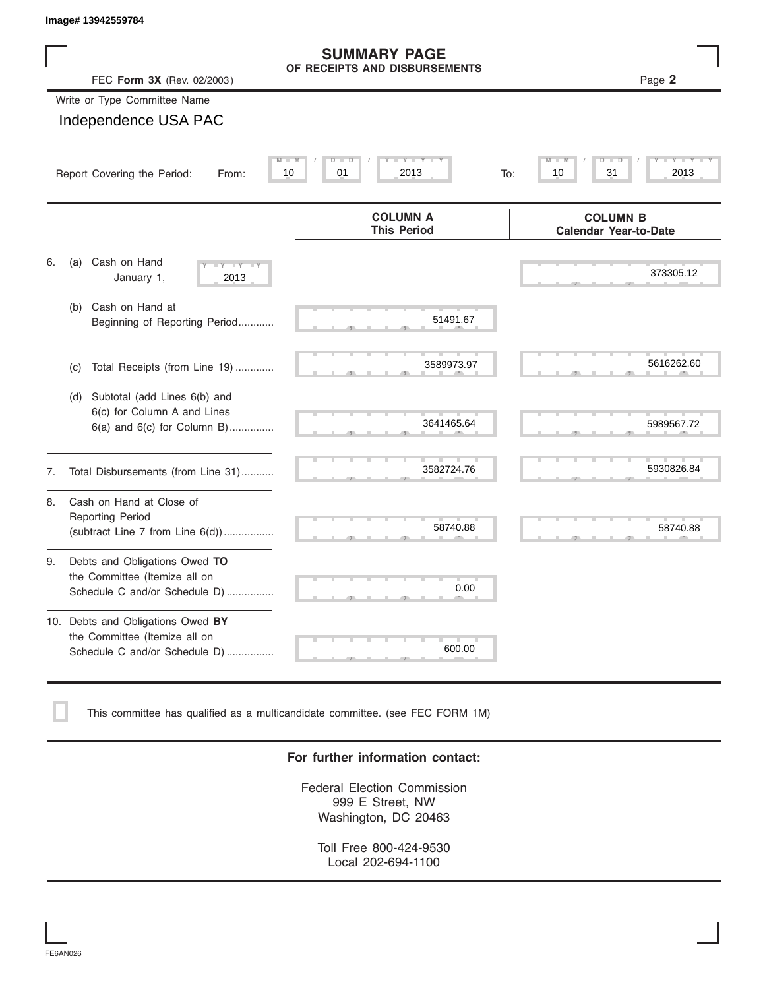| Image# 13942559784            |                                                                                                     |                                                                        |                                                                             |
|-------------------------------|-----------------------------------------------------------------------------------------------------|------------------------------------------------------------------------|-----------------------------------------------------------------------------|
|                               | FEC Form 3X (Rev. 02/2003)                                                                          | <b>SUMMARY PAGE</b><br>OF RECEIPTS AND DISBURSEMENTS                   | Page 2                                                                      |
|                               | Write or Type Committee Name                                                                        |                                                                        |                                                                             |
|                               | Independence USA PAC                                                                                |                                                                        |                                                                             |
|                               | Report Covering the Period:<br>From:                                                                | Y I Y I<br>$\overline{D}$<br>$\overline{D}$<br>01<br>2013<br>10<br>To: | $\overline{\mathbf{M}}$<br>т<br>Y I Y<br>$\overline{D}$<br>31<br>10<br>2013 |
|                               |                                                                                                     | <b>COLUMN A</b><br><b>This Period</b>                                  | <b>COLUMN B</b><br><b>Calendar Year-to-Date</b>                             |
| 6.<br>(a)                     | Cash on Hand<br>$Y = Y = Y$<br>January 1,<br>2013                                                   |                                                                        | 373305.12                                                                   |
| (b)                           | Cash on Hand at<br>Beginning of Reporting Period                                                    | 51491.67                                                               |                                                                             |
| (c)                           | Total Receipts (from Line 19)                                                                       | 3589973.97                                                             | 5616262.60                                                                  |
| (d)                           | Subtotal (add Lines 6(b) and<br>6(c) for Column A and Lines<br>6(a) and 6(c) for Column B)          | 3641465.64                                                             | 5989567.72                                                                  |
| 7.                            | Total Disbursements (from Line 31)                                                                  | 3582724.76                                                             | 5930826.84                                                                  |
| 8.<br><b>Reporting Period</b> | Cash on Hand at Close of<br>(subtract Line $7$ from Line $6(d)$ )                                   | 58740.88                                                               | 58740.88                                                                    |
| 9.                            | Debts and Obligations Owed TO<br>the Committee (Itemize all on<br>Schedule C and/or Schedule D)     | 0.00                                                                   |                                                                             |
|                               | 10. Debts and Obligations Owed BY<br>the Committee (Itemize all on<br>Schedule C and/or Schedule D) | 600.00                                                                 |                                                                             |

This committee has qualified as a multicandidate committee. (see FEC FORM 1M)

#### **For further information contact:**

Federal Election Commission 999 E Street, NW Washington, DC 20463

Toll Free 800-424-9530 Local 202-694-1100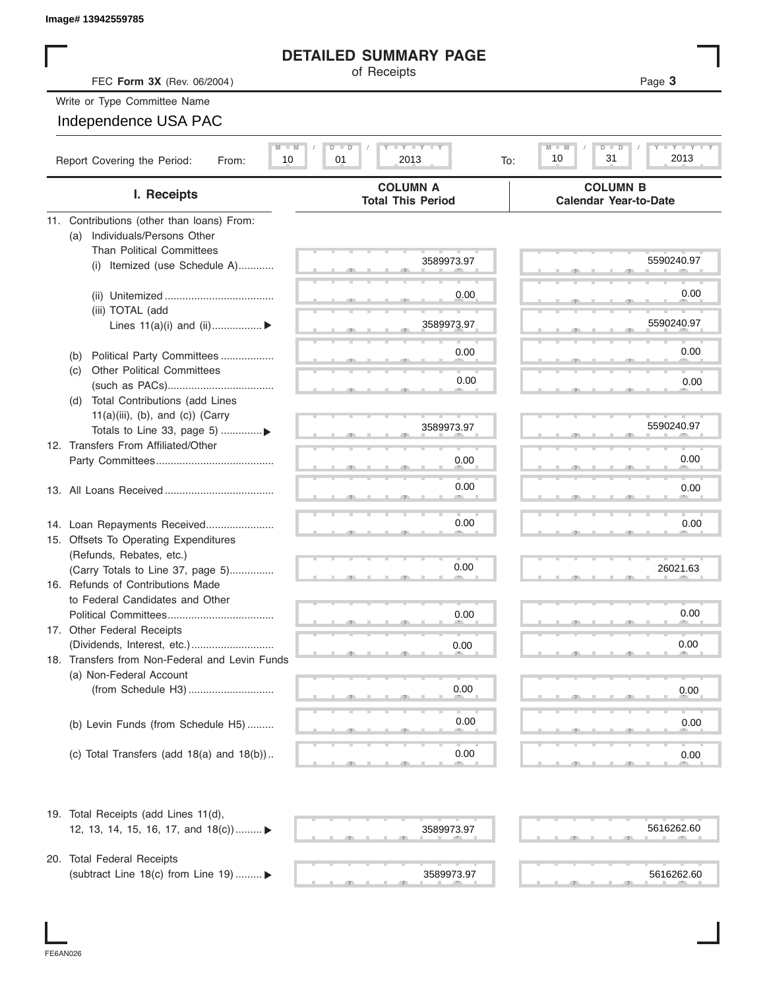| Image# 13942559785 |
|--------------------|
|                    |

### **DETAILED SUMMARY PAGE**

| Image# 13942559785                                                            |                                                 |                                                          |
|-------------------------------------------------------------------------------|-------------------------------------------------|----------------------------------------------------------|
|                                                                               | <b>DETAILED SUMMARY PAGE</b>                    |                                                          |
| FEC Form 3X (Rev. 06/2004)                                                    | of Receipts                                     | Page 3                                                   |
| Write or Type Committee Name                                                  |                                                 |                                                          |
| Independence USA PAC                                                          |                                                 |                                                          |
| $M - M$<br>Report Covering the Period:<br>10<br>From:                         | <b>LY LY LY</b><br>$D$ $D$<br>01<br>2013<br>To: | $T - Y = T - Y$<br>$M - M$<br>D<br>D<br>2013<br>10<br>31 |
| I. Receipts                                                                   | <b>COLUMN A</b><br><b>Total This Period</b>     | <b>COLUMN B</b><br><b>Calendar Year-to-Date</b>          |
| 11. Contributions (other than loans) From:                                    |                                                 |                                                          |
| Individuals/Persons Other<br>(a)                                              |                                                 |                                                          |
| <b>Than Political Committees</b>                                              | 3589973.97                                      | 5590240.97                                               |
| Itemized (use Schedule A)<br>(i)                                              |                                                 |                                                          |
|                                                                               | 0.00                                            | 0.00                                                     |
| (iii) TOTAL (add                                                              |                                                 |                                                          |
| Lines $11(a)(i)$ and $(ii)$                                                   | 3589973.97                                      | 5590240.97                                               |
|                                                                               | 0.00                                            | 0.00                                                     |
| Political Party Committees<br>(b)<br><b>Other Political Committees</b><br>(c) |                                                 |                                                          |
|                                                                               | 0.00                                            | 0.00                                                     |
| Total Contributions (add Lines<br>(d)                                         |                                                 |                                                          |
| $11(a)(iii)$ , (b), and (c)) (Carry                                           |                                                 |                                                          |
| Totals to Line 33, page 5)                                                    | 3589973.97                                      | 5590240.97                                               |
| 12. Transfers From Affiliated/Other                                           |                                                 |                                                          |
|                                                                               | 0.00                                            | 0.00                                                     |
|                                                                               | 0.00                                            | 0.00                                                     |
|                                                                               |                                                 |                                                          |
|                                                                               | 0.00                                            | 0.00                                                     |
| 14. Loan Repayments Received<br>15. Offsets To Operating Expenditures         |                                                 |                                                          |
| (Refunds, Rebates, etc.)                                                      |                                                 |                                                          |
| (Carry Totals to Line 37, page 5)                                             | 0.00                                            | 26021.63                                                 |
| 16. Refunds of Contributions Made                                             |                                                 |                                                          |
| to Federal Candidates and Other                                               |                                                 |                                                          |
| Political Committees                                                          | 0.00                                            | 0.00                                                     |
| 17. Other Federal Receipts                                                    |                                                 |                                                          |
| (Dividends, Interest, etc.)                                                   | 0.00                                            | 0.00                                                     |
| 18. Transfers from Non-Federal and Levin Funds<br>(a) Non-Federal Account     |                                                 |                                                          |
|                                                                               | 0.00                                            | 0.00                                                     |
|                                                                               |                                                 |                                                          |
| (b) Levin Funds (from Schedule H5)                                            | 0.00                                            | 0.00                                                     |
|                                                                               |                                                 |                                                          |
| (c) Total Transfers (add $18(a)$ and $18(b)$ )                                | 0.00                                            | 0.00                                                     |
| 19. Total Receipts (add Lines 11(d),                                          |                                                 |                                                          |
| 12, 13, 14, 15, 16, 17, and 18(c)) ▶                                          | 3589973.97                                      | 5616262.60                                               |
|                                                                               |                                                 |                                                          |
| 20. Total Federal Receipts                                                    |                                                 |                                                          |
| (subtract Line 18(c) from Line 19)  ▶                                         | 3589973.97                                      | 5616262.60                                               |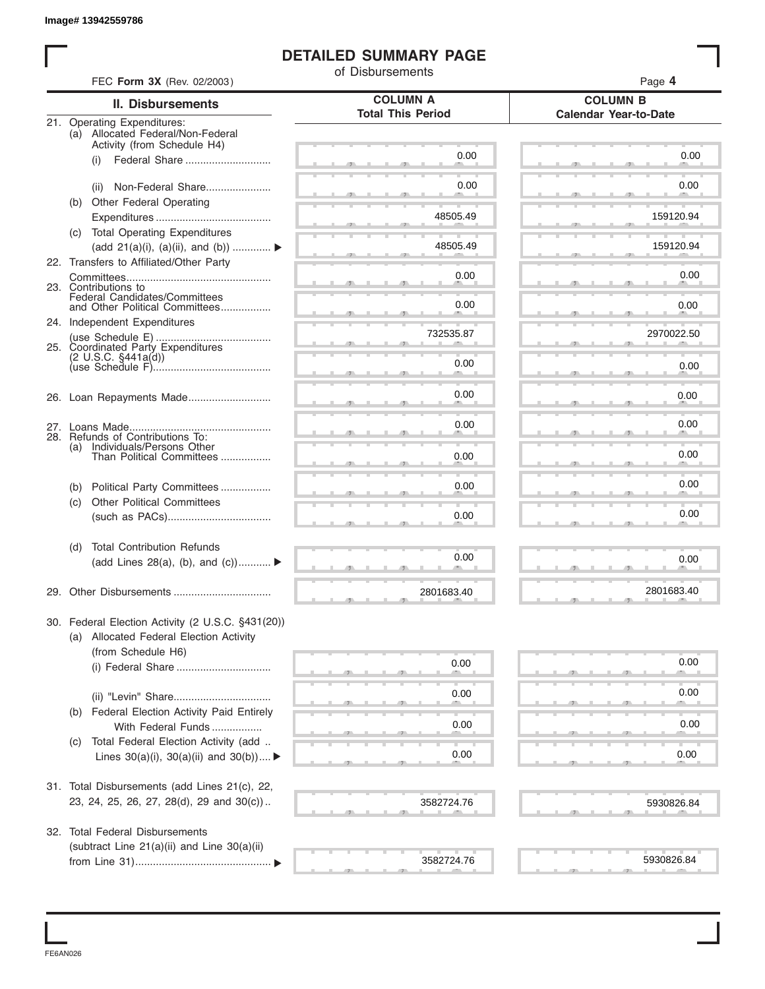### **DETAILED SUMMARY PAGE**

| FEC Form 3X (Rev. 02/2003)<br><b>COLUMN A</b><br><b>COLUMN B</b><br><b>II. Disbursements</b><br><b>Total This Period</b><br><b>Calendar Year-to-Date</b><br>21. Operating Expenditures:<br>(a) Allocated Federal/Non-Federal<br>Activity (from Schedule H4)<br>0.00<br>Federal Share<br>(i)<br>0.00<br>Non-Federal Share<br>(ii)<br>(b) Other Federal Operating<br>48505.49<br>(c) Total Operating Expenditures<br>48505.49<br>(add 21(a)(i), (a)(ii), and (b))<br>22. Transfers to Affiliated/Other Party<br>0.00<br>23. Contributions to<br>Federal Candidates/Committees<br>0.00<br>and Other Political Committees<br>24. Independent Expenditures<br>732535.87<br>25. Coordinated Party Expenditures<br>$(2 \text{ U.S.C. } $441a(d))$<br>0.00<br>0.00<br>0.00<br>28. Refunds of Contributions To:<br>Individuals/Persons Other<br>Than Political Committees<br>(a)<br>0.00<br>0.00<br>Political Party Committees<br>(b)<br><b>Other Political Committees</b><br>(c)<br>0.00<br><b>Total Contribution Refunds</b><br>(d)<br>0.00<br>(add Lines 28(a), (b), and (c))<br>2801683.40<br>30. Federal Election Activity (2 U.S.C. §431(20))<br>(a) Allocated Federal Election Activity<br>(from Schedule H6)<br>0.00<br>(i) Federal Share<br>0.00<br>Federal Election Activity Paid Entirely<br>(b)<br>0.00 | Page 4     |
|------------------------------------------------------------------------------------------------------------------------------------------------------------------------------------------------------------------------------------------------------------------------------------------------------------------------------------------------------------------------------------------------------------------------------------------------------------------------------------------------------------------------------------------------------------------------------------------------------------------------------------------------------------------------------------------------------------------------------------------------------------------------------------------------------------------------------------------------------------------------------------------------------------------------------------------------------------------------------------------------------------------------------------------------------------------------------------------------------------------------------------------------------------------------------------------------------------------------------------------------------------------------------------------------------------|------------|
|                                                                                                                                                                                                                                                                                                                                                                                                                                                                                                                                                                                                                                                                                                                                                                                                                                                                                                                                                                                                                                                                                                                                                                                                                                                                                                            |            |
|                                                                                                                                                                                                                                                                                                                                                                                                                                                                                                                                                                                                                                                                                                                                                                                                                                                                                                                                                                                                                                                                                                                                                                                                                                                                                                            |            |
|                                                                                                                                                                                                                                                                                                                                                                                                                                                                                                                                                                                                                                                                                                                                                                                                                                                                                                                                                                                                                                                                                                                                                                                                                                                                                                            |            |
|                                                                                                                                                                                                                                                                                                                                                                                                                                                                                                                                                                                                                                                                                                                                                                                                                                                                                                                                                                                                                                                                                                                                                                                                                                                                                                            | 0.00       |
|                                                                                                                                                                                                                                                                                                                                                                                                                                                                                                                                                                                                                                                                                                                                                                                                                                                                                                                                                                                                                                                                                                                                                                                                                                                                                                            |            |
|                                                                                                                                                                                                                                                                                                                                                                                                                                                                                                                                                                                                                                                                                                                                                                                                                                                                                                                                                                                                                                                                                                                                                                                                                                                                                                            | 0.00       |
|                                                                                                                                                                                                                                                                                                                                                                                                                                                                                                                                                                                                                                                                                                                                                                                                                                                                                                                                                                                                                                                                                                                                                                                                                                                                                                            |            |
|                                                                                                                                                                                                                                                                                                                                                                                                                                                                                                                                                                                                                                                                                                                                                                                                                                                                                                                                                                                                                                                                                                                                                                                                                                                                                                            | 159120.94  |
|                                                                                                                                                                                                                                                                                                                                                                                                                                                                                                                                                                                                                                                                                                                                                                                                                                                                                                                                                                                                                                                                                                                                                                                                                                                                                                            |            |
|                                                                                                                                                                                                                                                                                                                                                                                                                                                                                                                                                                                                                                                                                                                                                                                                                                                                                                                                                                                                                                                                                                                                                                                                                                                                                                            | 159120.94  |
|                                                                                                                                                                                                                                                                                                                                                                                                                                                                                                                                                                                                                                                                                                                                                                                                                                                                                                                                                                                                                                                                                                                                                                                                                                                                                                            |            |
|                                                                                                                                                                                                                                                                                                                                                                                                                                                                                                                                                                                                                                                                                                                                                                                                                                                                                                                                                                                                                                                                                                                                                                                                                                                                                                            | 0.00       |
|                                                                                                                                                                                                                                                                                                                                                                                                                                                                                                                                                                                                                                                                                                                                                                                                                                                                                                                                                                                                                                                                                                                                                                                                                                                                                                            |            |
|                                                                                                                                                                                                                                                                                                                                                                                                                                                                                                                                                                                                                                                                                                                                                                                                                                                                                                                                                                                                                                                                                                                                                                                                                                                                                                            | 0.00       |
|                                                                                                                                                                                                                                                                                                                                                                                                                                                                                                                                                                                                                                                                                                                                                                                                                                                                                                                                                                                                                                                                                                                                                                                                                                                                                                            | 2970022.50 |
|                                                                                                                                                                                                                                                                                                                                                                                                                                                                                                                                                                                                                                                                                                                                                                                                                                                                                                                                                                                                                                                                                                                                                                                                                                                                                                            |            |
|                                                                                                                                                                                                                                                                                                                                                                                                                                                                                                                                                                                                                                                                                                                                                                                                                                                                                                                                                                                                                                                                                                                                                                                                                                                                                                            | 0.00       |
|                                                                                                                                                                                                                                                                                                                                                                                                                                                                                                                                                                                                                                                                                                                                                                                                                                                                                                                                                                                                                                                                                                                                                                                                                                                                                                            |            |
|                                                                                                                                                                                                                                                                                                                                                                                                                                                                                                                                                                                                                                                                                                                                                                                                                                                                                                                                                                                                                                                                                                                                                                                                                                                                                                            | 0.00       |
|                                                                                                                                                                                                                                                                                                                                                                                                                                                                                                                                                                                                                                                                                                                                                                                                                                                                                                                                                                                                                                                                                                                                                                                                                                                                                                            |            |
|                                                                                                                                                                                                                                                                                                                                                                                                                                                                                                                                                                                                                                                                                                                                                                                                                                                                                                                                                                                                                                                                                                                                                                                                                                                                                                            | 0.00       |
|                                                                                                                                                                                                                                                                                                                                                                                                                                                                                                                                                                                                                                                                                                                                                                                                                                                                                                                                                                                                                                                                                                                                                                                                                                                                                                            |            |
|                                                                                                                                                                                                                                                                                                                                                                                                                                                                                                                                                                                                                                                                                                                                                                                                                                                                                                                                                                                                                                                                                                                                                                                                                                                                                                            | 0.00       |
|                                                                                                                                                                                                                                                                                                                                                                                                                                                                                                                                                                                                                                                                                                                                                                                                                                                                                                                                                                                                                                                                                                                                                                                                                                                                                                            | 0.00       |
|                                                                                                                                                                                                                                                                                                                                                                                                                                                                                                                                                                                                                                                                                                                                                                                                                                                                                                                                                                                                                                                                                                                                                                                                                                                                                                            |            |
|                                                                                                                                                                                                                                                                                                                                                                                                                                                                                                                                                                                                                                                                                                                                                                                                                                                                                                                                                                                                                                                                                                                                                                                                                                                                                                            | 0.00       |
|                                                                                                                                                                                                                                                                                                                                                                                                                                                                                                                                                                                                                                                                                                                                                                                                                                                                                                                                                                                                                                                                                                                                                                                                                                                                                                            |            |
|                                                                                                                                                                                                                                                                                                                                                                                                                                                                                                                                                                                                                                                                                                                                                                                                                                                                                                                                                                                                                                                                                                                                                                                                                                                                                                            |            |
|                                                                                                                                                                                                                                                                                                                                                                                                                                                                                                                                                                                                                                                                                                                                                                                                                                                                                                                                                                                                                                                                                                                                                                                                                                                                                                            | 0.00       |
|                                                                                                                                                                                                                                                                                                                                                                                                                                                                                                                                                                                                                                                                                                                                                                                                                                                                                                                                                                                                                                                                                                                                                                                                                                                                                                            |            |
|                                                                                                                                                                                                                                                                                                                                                                                                                                                                                                                                                                                                                                                                                                                                                                                                                                                                                                                                                                                                                                                                                                                                                                                                                                                                                                            | 2801683.40 |
|                                                                                                                                                                                                                                                                                                                                                                                                                                                                                                                                                                                                                                                                                                                                                                                                                                                                                                                                                                                                                                                                                                                                                                                                                                                                                                            |            |
|                                                                                                                                                                                                                                                                                                                                                                                                                                                                                                                                                                                                                                                                                                                                                                                                                                                                                                                                                                                                                                                                                                                                                                                                                                                                                                            |            |
|                                                                                                                                                                                                                                                                                                                                                                                                                                                                                                                                                                                                                                                                                                                                                                                                                                                                                                                                                                                                                                                                                                                                                                                                                                                                                                            |            |
|                                                                                                                                                                                                                                                                                                                                                                                                                                                                                                                                                                                                                                                                                                                                                                                                                                                                                                                                                                                                                                                                                                                                                                                                                                                                                                            | 0.00       |
|                                                                                                                                                                                                                                                                                                                                                                                                                                                                                                                                                                                                                                                                                                                                                                                                                                                                                                                                                                                                                                                                                                                                                                                                                                                                                                            |            |
|                                                                                                                                                                                                                                                                                                                                                                                                                                                                                                                                                                                                                                                                                                                                                                                                                                                                                                                                                                                                                                                                                                                                                                                                                                                                                                            | 0.00       |
|                                                                                                                                                                                                                                                                                                                                                                                                                                                                                                                                                                                                                                                                                                                                                                                                                                                                                                                                                                                                                                                                                                                                                                                                                                                                                                            |            |
| With Federal Funds                                                                                                                                                                                                                                                                                                                                                                                                                                                                                                                                                                                                                                                                                                                                                                                                                                                                                                                                                                                                                                                                                                                                                                                                                                                                                         | 0.00       |
| Total Federal Election Activity (add<br>(C)                                                                                                                                                                                                                                                                                                                                                                                                                                                                                                                                                                                                                                                                                                                                                                                                                                                                                                                                                                                                                                                                                                                                                                                                                                                                |            |
| 0.00<br>Lines $30(a)(i)$ , $30(a)(ii)$ and $30(b))$                                                                                                                                                                                                                                                                                                                                                                                                                                                                                                                                                                                                                                                                                                                                                                                                                                                                                                                                                                                                                                                                                                                                                                                                                                                        | 0.00       |
|                                                                                                                                                                                                                                                                                                                                                                                                                                                                                                                                                                                                                                                                                                                                                                                                                                                                                                                                                                                                                                                                                                                                                                                                                                                                                                            |            |
| 31. Total Disbursements (add Lines 21(c), 22,                                                                                                                                                                                                                                                                                                                                                                                                                                                                                                                                                                                                                                                                                                                                                                                                                                                                                                                                                                                                                                                                                                                                                                                                                                                              |            |
| 23, 24, 25, 26, 27, 28(d), 29 and 30(c))<br>3582724.76                                                                                                                                                                                                                                                                                                                                                                                                                                                                                                                                                                                                                                                                                                                                                                                                                                                                                                                                                                                                                                                                                                                                                                                                                                                     | 5930826.84 |
|                                                                                                                                                                                                                                                                                                                                                                                                                                                                                                                                                                                                                                                                                                                                                                                                                                                                                                                                                                                                                                                                                                                                                                                                                                                                                                            |            |
| 32. Total Federal Disbursements                                                                                                                                                                                                                                                                                                                                                                                                                                                                                                                                                                                                                                                                                                                                                                                                                                                                                                                                                                                                                                                                                                                                                                                                                                                                            |            |
| (subtract Line 21(a)(ii) and Line 30(a)(ii)<br>3582724.76                                                                                                                                                                                                                                                                                                                                                                                                                                                                                                                                                                                                                                                                                                                                                                                                                                                                                                                                                                                                                                                                                                                                                                                                                                                  | 5930826.84 |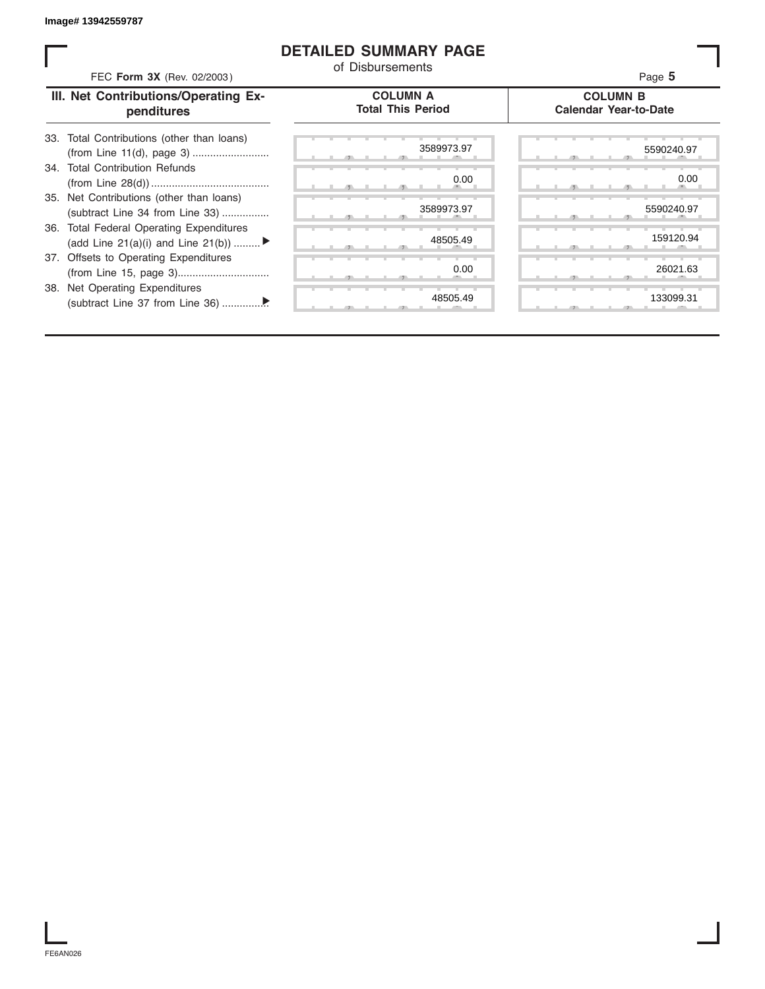#### **DETAILED SUMMARY PAGE**

| FEC Form 3X (Rev. 02/2003)                                                     | <b>DETAILED SUMMARY PAGE</b><br>of Disbursements | Page 5                                          |
|--------------------------------------------------------------------------------|--------------------------------------------------|-------------------------------------------------|
| III. Net Contributions/Operating Ex-<br>penditures                             | <b>COLUMN A</b><br><b>Total This Period</b>      | <b>COLUMN B</b><br><b>Calendar Year-to-Date</b> |
| 33. Total Contributions (other than loans)                                     | 3589973.97                                       | 5590240.97                                      |
| 34. Total Contribution Refunds                                                 | 0.00                                             | 0.00                                            |
| 35. Net Contributions (other than loans)<br>(subtract Line 34 from Line 33)    | 3589973.97                                       | 5590240.97                                      |
| 36. Total Federal Operating Expenditures<br>(add Line 21(a)(i) and Line 21(b)) | 48505.49                                         | 159120.94                                       |
| 37. Offsets to Operating Expenditures                                          | 0.00                                             | 26021.63                                        |
| 38. Net Operating Expenditures                                                 | 48505.49                                         | 133099.31                                       |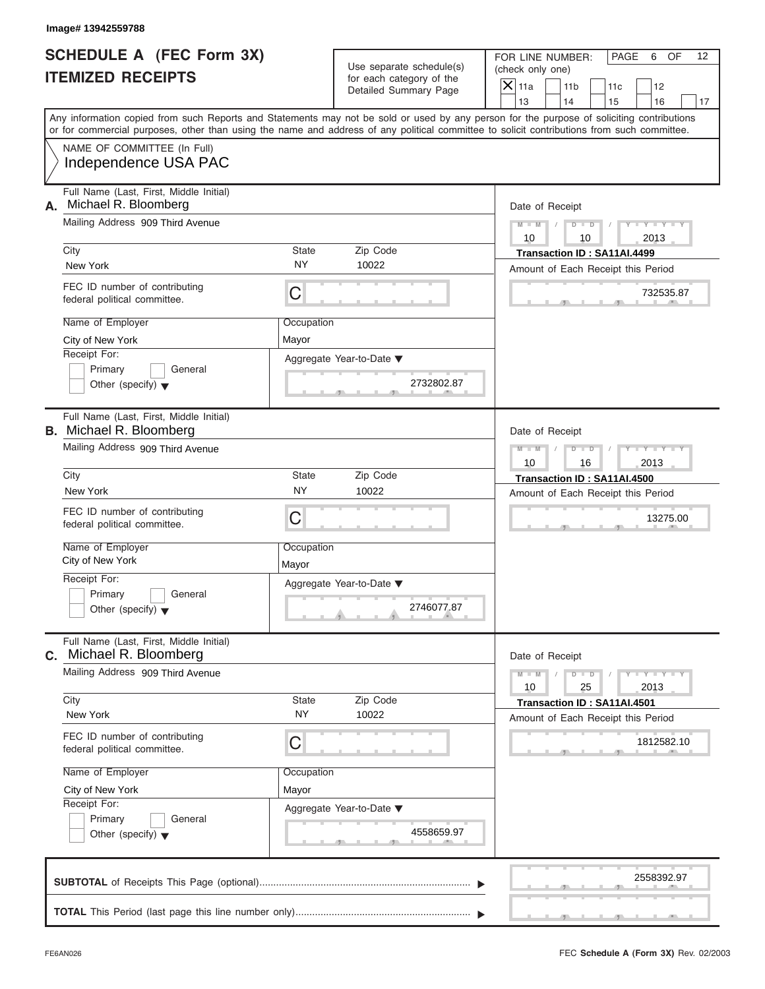# **SCHEDULE A (FEC Form 3X) ITEMIZED RECEIPTS**

FOR LINE NUMBER: PAGE 6 OF<br>(check only one)

| SCHEDULE A (FEC Form 3X)<br><b>ITEMIZED RECEIPTS</b>                                                                                                                                                                                                                                                                                                                              | Use separate schedule(s)<br>for each category of the<br>Detailed Summary Page | FOR LINE NUMBER:<br>PAGE<br>6<br>OF<br>12<br>(check only one)<br>$\mathsf{X}$ 11a<br>11 <sub>b</sub><br>12<br>11c                                                                                                |
|-----------------------------------------------------------------------------------------------------------------------------------------------------------------------------------------------------------------------------------------------------------------------------------------------------------------------------------------------------------------------------------|-------------------------------------------------------------------------------|------------------------------------------------------------------------------------------------------------------------------------------------------------------------------------------------------------------|
| Any information copied from such Reports and Statements may not be sold or used by any person for the purpose of soliciting contributions<br>or for commercial purposes, other than using the name and address of any political committee to solicit contributions from such committee.<br>NAME OF COMMITTEE (In Full)<br>Independence USA PAC                                    |                                                                               | 13<br>14<br>15<br>16<br>17                                                                                                                                                                                       |
| Full Name (Last, First, Middle Initial)<br>Michael R. Bloomberg<br>А.<br>Mailing Address 909 Third Avenue<br>City<br><b>State</b><br><b>NY</b><br>New York<br>FEC ID number of contributing<br>C<br>federal political committee.<br>Name of Employer<br>Occupation<br>City of New York<br>Mayor<br>Receipt For:<br>Primary<br>General<br>Other (specify) $\blacktriangledown$     | Zip Code<br>10022<br>Aggregate Year-to-Date ▼<br>2732802.87                   | Date of Receipt<br>$M - M$<br>$D$ $D$<br>2013<br>10<br>10<br>Transaction ID: SA11AI.4499<br>Amount of Each Receipt this Period<br>732535.87                                                                      |
| Full Name (Last, First, Middle Initial)<br><b>B.</b> Michael R. Bloomberg<br>Mailing Address 909 Third Avenue<br>City<br><b>State</b><br><b>NY</b><br>New York<br>FEC ID number of contributing<br>C<br>federal political committee.<br>Name of Employer<br>Occupation<br>City of New York<br>Mayor<br>Receipt For:<br>Primary<br>General<br>Other (specify) $\blacktriangledown$ | Zip Code<br>10022<br>Aggregate Year-to-Date ▼<br>2746077.87                   | Date of Receipt<br>$M - M$<br>$D$ $D$<br>2013<br>10<br>16<br>Transaction ID: SA11AI.4500<br>Amount of Each Receipt this Period<br>13275.00                                                                       |
| Full Name (Last, First, Middle Initial)<br>Michael R. Bloomberg<br>С.<br>Mailing Address 909 Third Avenue<br>City<br><b>State</b><br>NY<br>New York<br>FEC ID number of contributing<br>C<br>federal political committee.<br>Name of Employer<br>Occupation<br>City of New York<br>Mayor<br>Receipt For:<br>Primary<br>General<br>Other (specify) $\blacktriangledown$            | Zip Code<br>10022<br>Aggregate Year-to-Date ▼<br>4558659.97                   | Date of Receipt<br>$M - M$<br>$\mathbf{I} = \mathbf{Y} - \mathbf{I} - \mathbf{Y} - \mathbf{I}$<br>$D$ $D$<br>25<br>10<br>2013<br>Transaction ID: SA11AI.4501<br>Amount of Each Receipt this Period<br>1812582.10 |
|                                                                                                                                                                                                                                                                                                                                                                                   |                                                                               | 2558392.97                                                                                                                                                                                                       |

S S S , , .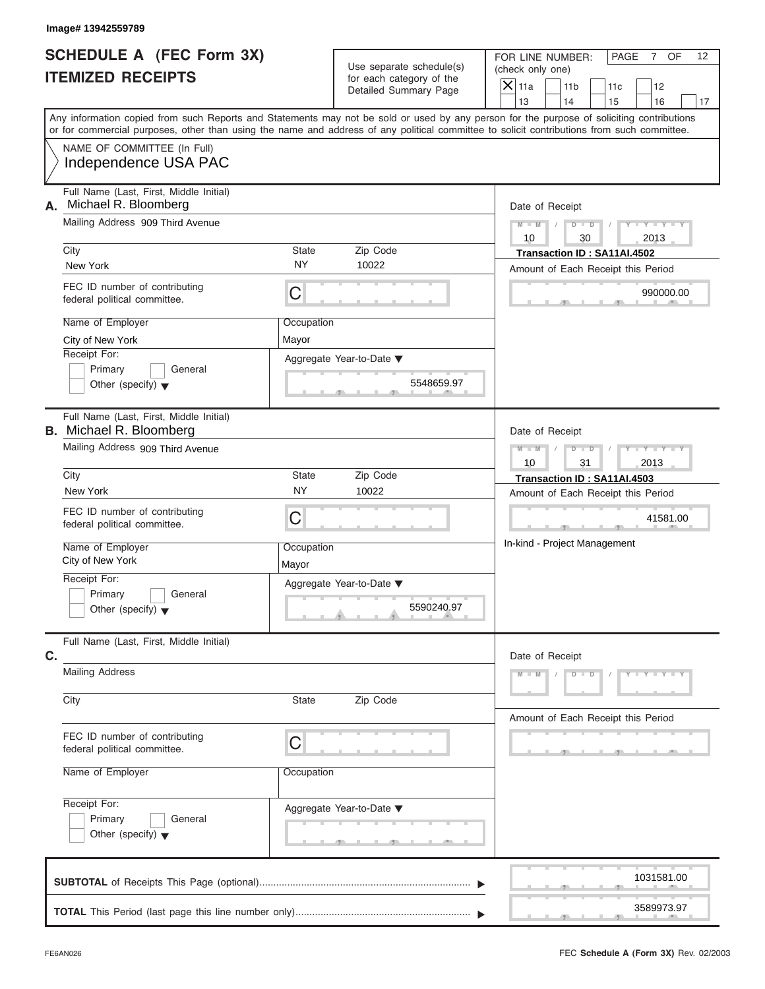# **SCHEDULE A (FEC Form 3X) ITEMIZED RECEIPTS**

FOR LINE NUMBER: PAGE 7 OF<br>(check only one)

| SCHEDULE A (FEC Form 3X)<br><b>ITEMIZED RECEIPTS</b>                                                                                                                                                                                                                                                                     | Use separate schedule(s)<br>for each category of the                                                                      | FOR LINE NUMBER:<br>PAGE<br>7 <sup>7</sup><br>OF<br>12<br>(check only one)                                                                                                     |
|--------------------------------------------------------------------------------------------------------------------------------------------------------------------------------------------------------------------------------------------------------------------------------------------------------------------------|---------------------------------------------------------------------------------------------------------------------------|--------------------------------------------------------------------------------------------------------------------------------------------------------------------------------|
|                                                                                                                                                                                                                                                                                                                          | Detailed Summary Page                                                                                                     | $\overline{X}$ 11a<br>11 <sub>b</sub><br>12<br>11c<br>13<br>14<br>15<br>16<br>17                                                                                               |
| Any information copied from such Reports and Statements may not be sold or used by any person for the purpose of soliciting contributions<br>or for commercial purposes, other than using the name and address of any political committee to solicit contributions from such committee.                                  |                                                                                                                           |                                                                                                                                                                                |
| NAME OF COMMITTEE (In Full)<br>Independence USA PAC                                                                                                                                                                                                                                                                      |                                                                                                                           |                                                                                                                                                                                |
| Full Name (Last, First, Middle Initial)<br>Michael R. Bloomberg<br>А.<br>Mailing Address 909 Third Avenue<br>City<br>New York<br>FEC ID number of contributing                                                                                                                                                           | Zip Code<br><b>State</b><br><b>NY</b><br>10022<br>С                                                                       | Date of Receipt<br>$- Y -$<br>$M - M$<br>D<br>$\Box$<br>10<br>30<br>2013<br>Transaction ID: SA11AI.4502<br>Amount of Each Receipt this Period<br>990000.00                     |
| federal political committee.<br>Name of Employer<br>City of New York<br>Receipt For:<br>Primary<br>General<br>Other (specify) $\blacktriangledown$                                                                                                                                                                       | Occupation<br>Mayor<br>Aggregate Year-to-Date ▼<br>5548659.97                                                             |                                                                                                                                                                                |
| Full Name (Last, First, Middle Initial)<br><b>B.</b> Michael R. Bloomberg<br>Mailing Address 909 Third Avenue<br>City<br>New York<br>FEC ID number of contributing<br>federal political committee.<br>Name of Employer<br>City of New York<br>Receipt For:<br>General<br>Primary<br>Other (specify) $\blacktriangledown$ | Zip Code<br><b>State</b><br><b>NY</b><br>10022<br>C<br>Occupation<br>Mayor<br>Aggregate Year-to-Date ▼<br>5590240.97<br>A | Date of Receipt<br>$M - M$<br>D<br>$\Box$<br>2013<br>10<br>31<br>Transaction ID: SA11AI.4503<br>Amount of Each Receipt this Period<br>41581.00<br>In-kind - Project Management |
| Full Name (Last, First, Middle Initial)<br>C.<br><b>Mailing Address</b><br>City<br>FEC ID number of contributing<br>federal political committee.<br>Name of Employer<br>Receipt For:<br>Primary<br>General<br>Other (specify) $\blacktriangledown$                                                                       | Zip Code<br>State<br>C<br>Occupation<br>Aggregate Year-to-Date ▼                                                          | Date of Receipt<br>$M - M$<br>$Y - Y - Y - Y - Y$<br>$\overline{D}$<br>$\overline{\phantom{a}}$<br>Amount of Each Receipt this Period                                          |
|                                                                                                                                                                                                                                                                                                                          |                                                                                                                           | 1031581.00<br>3589973.97                                                                                                                                                       |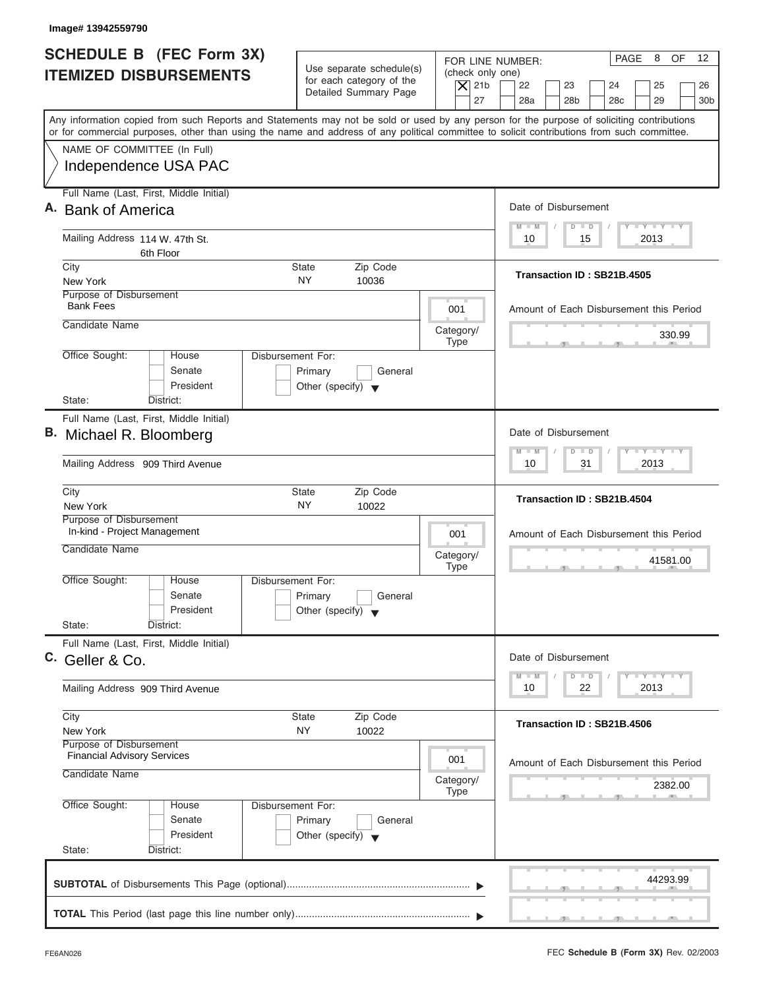| Image# 13942559790                                                                                                                                                                                                                                                                      |                                                   |                                      |                                                                         |                                |
|-----------------------------------------------------------------------------------------------------------------------------------------------------------------------------------------------------------------------------------------------------------------------------------------|---------------------------------------------------|--------------------------------------|-------------------------------------------------------------------------|--------------------------------|
| <b>SCHEDULE B (FEC Form 3X)</b><br><b>ITEMIZED DISBURSEMENTS</b>                                                                                                                                                                                                                        | Use separate schedule(s)                          | FOR LINE NUMBER:<br>(check only one) | 8<br>PAGE                                                               | <b>OF</b><br>$12 \overline{ }$ |
|                                                                                                                                                                                                                                                                                         | for each category of the<br>Detailed Summary Page | $\overline{X}$ 21b<br>27             | 22<br>23<br>24<br>25<br>28a<br>28 <sub>b</sub><br>28 <sub>c</sub><br>29 | 26<br>30 <sub>b</sub>          |
| Any information copied from such Reports and Statements may not be sold or used by any person for the purpose of soliciting contributions<br>or for commercial purposes, other than using the name and address of any political committee to solicit contributions from such committee. |                                                   |                                      |                                                                         |                                |
| NAME OF COMMITTEE (In Full)                                                                                                                                                                                                                                                             |                                                   |                                      |                                                                         |                                |
| Independence USA PAC                                                                                                                                                                                                                                                                    |                                                   |                                      |                                                                         |                                |
| Full Name (Last, First, Middle Initial)                                                                                                                                                                                                                                                 |                                                   |                                      | Date of Disbursement                                                    |                                |
| A. Bank of America                                                                                                                                                                                                                                                                      |                                                   |                                      | $T - Y = T - Y = T - Y$<br>$M - M$<br>$D$ $D$                           |                                |
| Mailing Address 114 W. 47th St.<br>6th Floor                                                                                                                                                                                                                                            |                                                   |                                      | 2013<br>10<br>15                                                        |                                |
| City                                                                                                                                                                                                                                                                                    | Zip Code<br><b>State</b>                          |                                      | Transaction ID: SB21B.4505                                              |                                |
| New York<br>Purpose of Disbursement                                                                                                                                                                                                                                                     | <b>NY</b><br>10036                                |                                      |                                                                         |                                |
| <b>Bank Fees</b>                                                                                                                                                                                                                                                                        |                                                   | 001                                  | Amount of Each Disbursement this Period                                 |                                |
| Candidate Name                                                                                                                                                                                                                                                                          |                                                   | Category/                            |                                                                         | 330.99                         |
| Office Sought:<br>House                                                                                                                                                                                                                                                                 | Disbursement For:                                 | <b>Type</b>                          |                                                                         |                                |
| Senate                                                                                                                                                                                                                                                                                  | Primary<br>General                                |                                      |                                                                         |                                |
| President                                                                                                                                                                                                                                                                               | Other (specify) $\blacktriangledown$              |                                      |                                                                         |                                |
| State:<br>District:<br>Full Name (Last, First, Middle Initial)                                                                                                                                                                                                                          |                                                   |                                      |                                                                         |                                |
| B. Michael R. Bloomberg                                                                                                                                                                                                                                                                 |                                                   |                                      | Date of Disbursement                                                    |                                |
| Mailing Address 909 Third Avenue                                                                                                                                                                                                                                                        |                                                   |                                      | $-1 - Y - 1 - Y - 1 - Y$<br>$M - M$<br>$D$ $D$<br>2013<br>10<br>31      |                                |
|                                                                                                                                                                                                                                                                                         |                                                   |                                      |                                                                         |                                |
| City<br>New York                                                                                                                                                                                                                                                                        | Zip Code<br><b>State</b><br>NY<br>10022           |                                      | Transaction ID: SB21B.4504                                              |                                |
| Purpose of Disbursement<br>In-kind - Project Management                                                                                                                                                                                                                                 |                                                   | 001                                  | Amount of Each Disbursement this Period                                 |                                |
| Candidate Name                                                                                                                                                                                                                                                                          |                                                   |                                      |                                                                         |                                |
|                                                                                                                                                                                                                                                                                         |                                                   | Category/<br><b>Type</b>             | $-7$                                                                    | 41581.00                       |
| Office Sought:<br>House<br>Senate                                                                                                                                                                                                                                                       | Disbursement For:<br>Primary<br>General           |                                      |                                                                         |                                |
| President                                                                                                                                                                                                                                                                               | Other (specify) $\blacktriangledown$              |                                      |                                                                         |                                |
| State:<br>District:                                                                                                                                                                                                                                                                     |                                                   |                                      |                                                                         |                                |
| Full Name (Last, First, Middle Initial)                                                                                                                                                                                                                                                 |                                                   |                                      | Date of Disbursement                                                    |                                |
| C. Geller & Co.                                                                                                                                                                                                                                                                         |                                                   |                                      | $T - Y$ $T - Y$<br>$M - M$<br>$\overline{D}$<br>$\Box$                  |                                |
| Mailing Address 909 Third Avenue                                                                                                                                                                                                                                                        |                                                   |                                      | 2013<br>10<br>22                                                        |                                |
| City                                                                                                                                                                                                                                                                                    | Zip Code<br><b>State</b>                          |                                      | Transaction ID: SB21B.4506                                              |                                |
| New York<br>Purpose of Disbursement                                                                                                                                                                                                                                                     | NY<br>10022                                       |                                      |                                                                         |                                |
| <b>Financial Advisory Services</b>                                                                                                                                                                                                                                                      |                                                   | 001                                  | Amount of Each Disbursement this Period                                 |                                |
| Candidate Name                                                                                                                                                                                                                                                                          |                                                   | Category/                            |                                                                         | 2382.00                        |
| Office Sought:<br>House                                                                                                                                                                                                                                                                 | Disbursement For:                                 | <b>Type</b>                          |                                                                         |                                |
| Senate                                                                                                                                                                                                                                                                                  | Primary<br>General                                |                                      |                                                                         |                                |
| President                                                                                                                                                                                                                                                                               | Other (specify) $\blacktriangledown$              |                                      |                                                                         |                                |
| State:<br>District:                                                                                                                                                                                                                                                                     |                                                   |                                      |                                                                         |                                |
|                                                                                                                                                                                                                                                                                         |                                                   |                                      |                                                                         | 44293.99                       |
|                                                                                                                                                                                                                                                                                         |                                                   |                                      |                                                                         |                                |
|                                                                                                                                                                                                                                                                                         |                                                   |                                      |                                                                         |                                |

I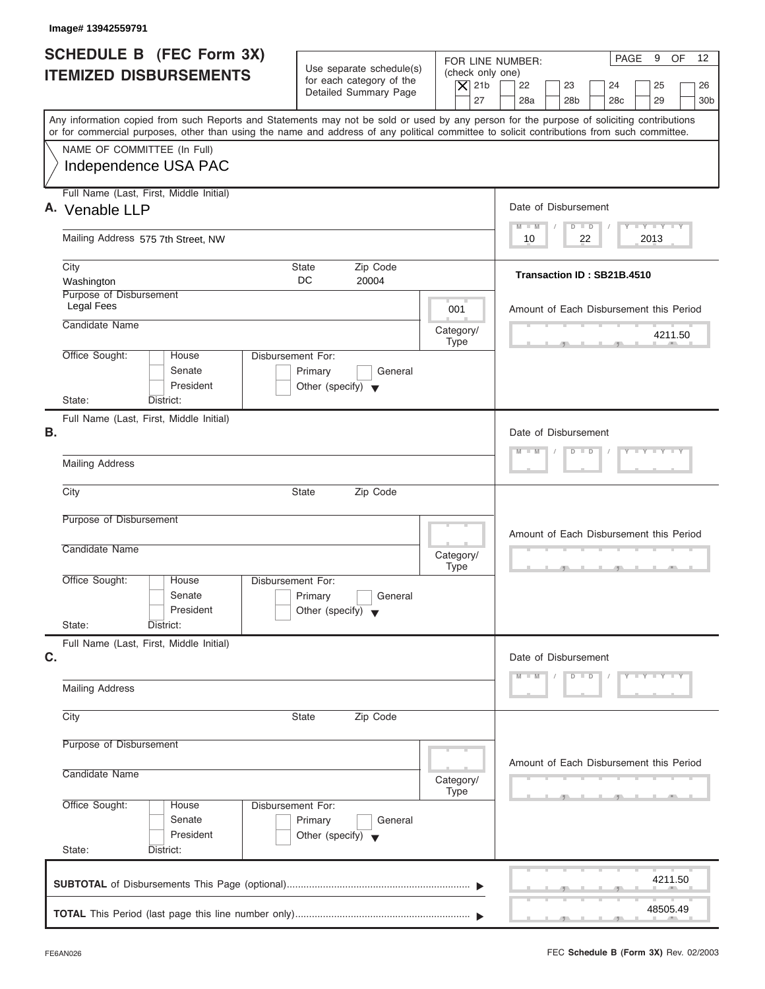|    | <b>SCHEDULE B</b> (FEC Form 3X)                                                                                                                                                                                                                                                         |                                                                                 |           |             |                          | FOR LINE NUMBER:                                              |  |                       |    | PAGE                     | 9                           | 12<br>OF                                |
|----|-----------------------------------------------------------------------------------------------------------------------------------------------------------------------------------------------------------------------------------------------------------------------------------------|---------------------------------------------------------------------------------|-----------|-------------|--------------------------|---------------------------------------------------------------|--|-----------------------|----|--------------------------|-----------------------------|-----------------------------------------|
|    | <b>ITEMIZED DISBURSEMENTS</b>                                                                                                                                                                                                                                                           | Use separate schedule(s)<br>for each category of the                            |           |             | (check only one)         |                                                               |  |                       |    |                          |                             |                                         |
|    |                                                                                                                                                                                                                                                                                         | Detailed Summary Page                                                           |           |             | $\overline{X}$ 21b<br>27 | 22<br>28a                                                     |  | 23<br>28 <sub>b</sub> |    | 24<br>28c                | 25<br>29                    | 26<br>30 <sub>b</sub>                   |
|    | Any information copied from such Reports and Statements may not be sold or used by any person for the purpose of soliciting contributions<br>or for commercial purposes, other than using the name and address of any political committee to solicit contributions from such committee. |                                                                                 |           |             |                          |                                                               |  |                       |    |                          |                             |                                         |
|    | NAME OF COMMITTEE (In Full)                                                                                                                                                                                                                                                             |                                                                                 |           |             |                          |                                                               |  |                       |    |                          |                             |                                         |
|    | Independence USA PAC                                                                                                                                                                                                                                                                    |                                                                                 |           |             |                          |                                                               |  |                       |    |                          |                             |                                         |
|    | Full Name (Last, First, Middle Initial)<br>A. Venable LLP                                                                                                                                                                                                                               |                                                                                 |           |             |                          | Date of Disbursement                                          |  |                       |    |                          |                             |                                         |
|    | Mailing Address 575 7th Street, NW                                                                                                                                                                                                                                                      |                                                                                 |           |             |                          | $M - M$<br>10                                                 |  | $D$ $D$               | 22 |                          | $Y = Y = Y = Y + Y$<br>2013 |                                         |
|    | City<br>Washington                                                                                                                                                                                                                                                                      | Zip Code<br>State<br>DC.<br>20004                                               |           |             |                          | Transaction ID: SB21B.4510                                    |  |                       |    |                          |                             |                                         |
|    | Purpose of Disbursement<br><b>Legal Fees</b>                                                                                                                                                                                                                                            |                                                                                 |           | 001         |                          |                                                               |  |                       |    |                          |                             | Amount of Each Disbursement this Period |
|    | Candidate Name                                                                                                                                                                                                                                                                          |                                                                                 | Category/ | <b>Type</b> |                          |                                                               |  |                       |    | <b>START OF BUILDING</b> |                             | 4211.50                                 |
|    | Office Sought:<br>House<br>Senate<br>President                                                                                                                                                                                                                                          | Disbursement For:<br>Primary<br>General<br>Other (specify) $\blacktriangledown$ |           |             |                          |                                                               |  |                       |    |                          |                             |                                         |
|    | State:<br>District:                                                                                                                                                                                                                                                                     |                                                                                 |           |             |                          |                                                               |  |                       |    |                          |                             |                                         |
| В. | Full Name (Last, First, Middle Initial)                                                                                                                                                                                                                                                 |                                                                                 |           |             |                          | Date of Disbursement                                          |  |                       |    |                          |                             |                                         |
|    | <b>Mailing Address</b>                                                                                                                                                                                                                                                                  |                                                                                 |           |             |                          | $Y = Y = Y = Y$<br>$D$ $D$<br>$M - M$<br>$\Box$<br>$\sqrt{ }$ |  |                       |    |                          |                             |                                         |
|    | City                                                                                                                                                                                                                                                                                    | State<br>Zip Code                                                               |           |             |                          |                                                               |  |                       |    |                          |                             |                                         |
|    | Purpose of Disbursement                                                                                                                                                                                                                                                                 |                                                                                 |           |             |                          |                                                               |  |                       |    |                          |                             | Amount of Each Disbursement this Period |
|    | Candidate Name                                                                                                                                                                                                                                                                          |                                                                                 | Category/ | <b>Type</b> |                          |                                                               |  |                       |    | $\cdots$                 |                             |                                         |
|    | Office Sought:<br>House<br>Senate<br>President                                                                                                                                                                                                                                          | Disbursement For:<br>Primary<br>General<br>Other (specify) $\blacktriangledown$ |           |             |                          |                                                               |  |                       |    |                          |                             |                                         |
|    | State:<br>District:<br>Full Name (Last, First, Middle Initial)                                                                                                                                                                                                                          |                                                                                 |           |             |                          |                                                               |  |                       |    |                          |                             |                                         |
| C. |                                                                                                                                                                                                                                                                                         |                                                                                 |           |             |                          | Date of Disbursement                                          |  |                       |    |                          |                             |                                         |
|    | <b>Mailing Address</b>                                                                                                                                                                                                                                                                  |                                                                                 |           |             |                          | $M - M$                                                       |  | $D$ $D$               |    |                          | $Y - Y - Y - Y - Y$         |                                         |
|    | City                                                                                                                                                                                                                                                                                    | Zip Code<br>State                                                               |           |             |                          |                                                               |  |                       |    |                          |                             |                                         |
|    | Purpose of Disbursement                                                                                                                                                                                                                                                                 |                                                                                 |           |             |                          |                                                               |  |                       |    |                          |                             |                                         |
|    | Candidate Name                                                                                                                                                                                                                                                                          |                                                                                 | Category/ | Type        |                          |                                                               |  |                       |    | -91                      |                             | Amount of Each Disbursement this Period |
|    | Office Sought:<br>House<br>Senate<br>President<br>State:<br>District:                                                                                                                                                                                                                   | Disbursement For:<br>Primary<br>General<br>Other (specify) $\blacktriangledown$ |           |             |                          |                                                               |  |                       |    |                          |                             |                                         |
|    |                                                                                                                                                                                                                                                                                         |                                                                                 |           |             |                          |                                                               |  |                       |    |                          |                             | 4211.50                                 |
|    |                                                                                                                                                                                                                                                                                         |                                                                                 |           |             |                          |                                                               |  |                       |    |                          |                             | 48505.49                                |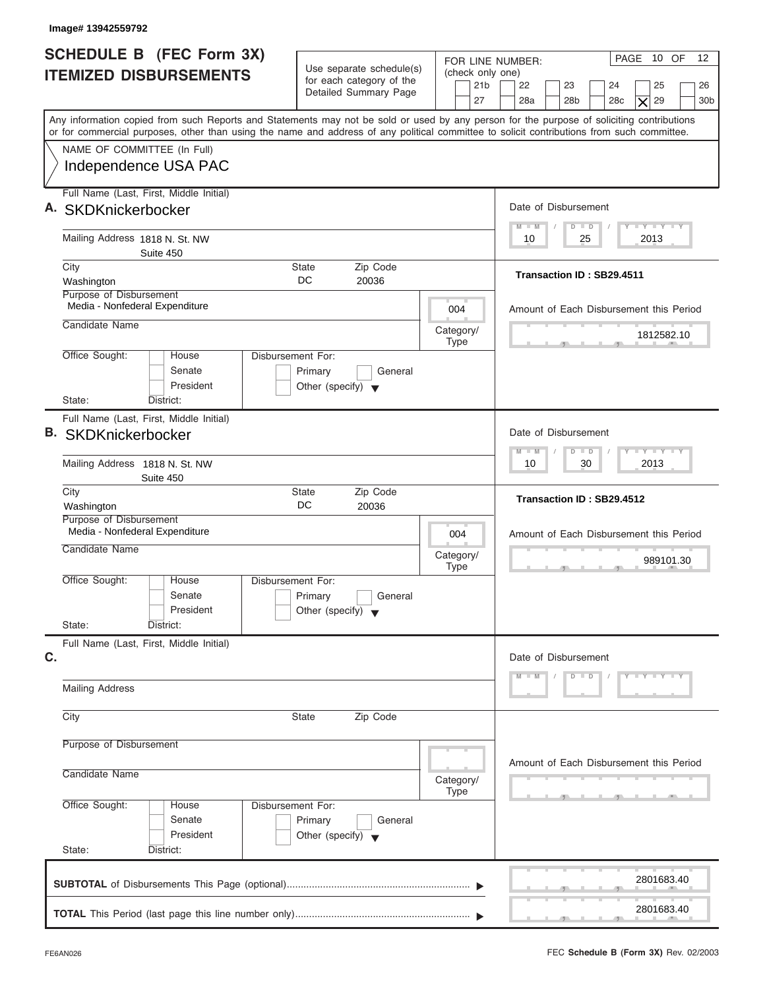| Image# 13942559792                                                                                                                                                                                                                                                                      |                                                                                 |                                                               |                                                                                                                                               |
|-----------------------------------------------------------------------------------------------------------------------------------------------------------------------------------------------------------------------------------------------------------------------------------------|---------------------------------------------------------------------------------|---------------------------------------------------------------|-----------------------------------------------------------------------------------------------------------------------------------------------|
| <b>SCHEDULE B</b> (FEC Form 3X)<br><b>ITEMIZED DISBURSEMENTS</b>                                                                                                                                                                                                                        | Use separate schedule(s)<br>for each category of the<br>Detailed Summary Page   | FOR LINE NUMBER:<br>(check only one)<br>21 <sub>b</sub><br>27 | PAGE 10 OF<br>12 <sup>°</sup><br>22<br>23<br>24<br>25<br>26<br>28a<br>28 <sub>b</sub><br>29<br>30 <sub>b</sub><br>28 <sub>c</sub><br>$\times$ |
| Any information copied from such Reports and Statements may not be sold or used by any person for the purpose of soliciting contributions<br>or for commercial purposes, other than using the name and address of any political committee to solicit contributions from such committee. |                                                                                 |                                                               |                                                                                                                                               |
| NAME OF COMMITTEE (In Full)<br>Independence USA PAC                                                                                                                                                                                                                                     |                                                                                 |                                                               |                                                                                                                                               |
| Full Name (Last, First, Middle Initial)<br>A. SKDKnickerbocker                                                                                                                                                                                                                          |                                                                                 |                                                               | Date of Disbursement                                                                                                                          |
| Mailing Address 1818 N. St. NW<br>Suite 450                                                                                                                                                                                                                                             |                                                                                 |                                                               | $T - Y = T - Y = T - Y$<br>$D$ $D$<br>$M - M$<br>25<br>2013<br>10                                                                             |
| City<br>Washington                                                                                                                                                                                                                                                                      | Zip Code<br>State<br>DC<br>20036                                                |                                                               | Transaction ID: SB29.4511                                                                                                                     |
| Purpose of Disbursement<br>Media - Nonfederal Expenditure<br>Candidate Name                                                                                                                                                                                                             |                                                                                 | 004                                                           | Amount of Each Disbursement this Period                                                                                                       |
| Office Sought:<br>House<br>Senate<br>President                                                                                                                                                                                                                                          | Disbursement For:<br>Primary<br>General<br>Other (specify) $\blacktriangledown$ | Category/<br><b>Type</b>                                      | 1812582.10                                                                                                                                    |
| State:<br>District:<br>Full Name (Last, First, Middle Initial)<br><b>B.</b> SKDKnickerbocker                                                                                                                                                                                            |                                                                                 |                                                               | Date of Disbursement<br>$-$ Y $-$ Y $-$ Y<br>$M - M$<br>$D$ $D$                                                                               |
| Mailing Address 1818 N. St. NW<br>Suite 450                                                                                                                                                                                                                                             |                                                                                 |                                                               | 30<br>2013<br>10                                                                                                                              |
| City<br>Washington                                                                                                                                                                                                                                                                      | Zip Code<br><b>State</b><br>DC<br>20036                                         |                                                               | Transaction ID: SB29.4512                                                                                                                     |
| Purpose of Disbursement<br>Media - Nonfederal Expenditure<br>Candidate Name                                                                                                                                                                                                             |                                                                                 | 004<br>Category/<br><b>Type</b>                               | Amount of Each Disbursement this Period<br>989101.30<br>$-7$                                                                                  |
| Office Sought:<br>House<br>Senate<br>President<br>State:<br>District:                                                                                                                                                                                                                   | Disbursement For:<br>Primary<br>General<br>Other (specify) $\blacktriangledown$ |                                                               |                                                                                                                                               |
| Full Name (Last, First, Middle Initial)<br>C.                                                                                                                                                                                                                                           |                                                                                 |                                                               | Date of Disbursement<br>$D$ $D$<br>$Y - Y - Y - Y$<br>$M - M$                                                                                 |
| <b>Mailing Address</b>                                                                                                                                                                                                                                                                  |                                                                                 |                                                               |                                                                                                                                               |
| City                                                                                                                                                                                                                                                                                    | Zip Code<br><b>State</b>                                                        |                                                               |                                                                                                                                               |
| Purpose of Disbursement<br>Candidate Name                                                                                                                                                                                                                                               |                                                                                 | Category/                                                     | Amount of Each Disbursement this Period                                                                                                       |
| Office Sought:<br>House<br>Senate<br>President<br>State:<br>District:                                                                                                                                                                                                                   | Disbursement For:<br>Primary<br>General<br>Other (specify) $\blacktriangledown$ | Type                                                          |                                                                                                                                               |
|                                                                                                                                                                                                                                                                                         |                                                                                 |                                                               | 2801683.40                                                                                                                                    |
|                                                                                                                                                                                                                                                                                         |                                                                                 |                                                               | 2801683.40                                                                                                                                    |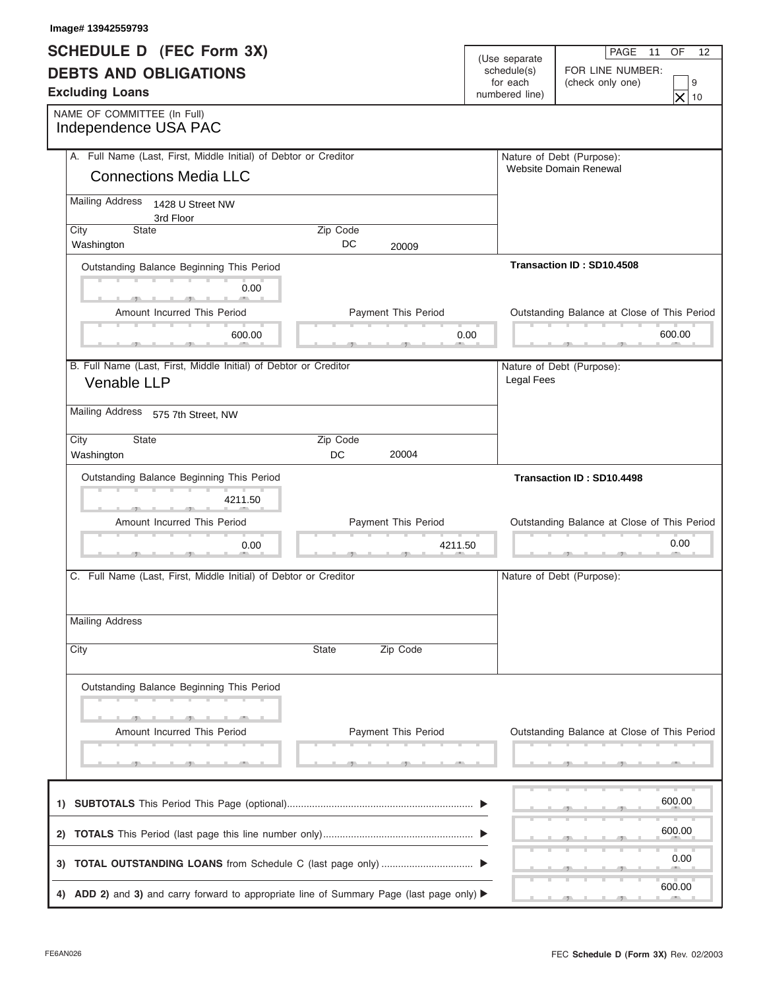| Image# 13942559793                                                                      |                       |                            |                            |                                             |
|-----------------------------------------------------------------------------------------|-----------------------|----------------------------|----------------------------|---------------------------------------------|
| <b>SCHEDULE D (FEC Form 3X)</b>                                                         |                       |                            | (Use separate              | PAGE<br>OF<br>11<br>12                      |
| <b>DEBTS AND OBLIGATIONS</b>                                                            |                       |                            | schedule(s)                | FOR LINE NUMBER:                            |
| <b>Excluding Loans</b>                                                                  |                       |                            | for each<br>numbered line) | (check only one)<br>9<br>$\times$<br>10     |
| NAME OF COMMITTEE (In Full)<br>Independence USA PAC                                     |                       |                            |                            |                                             |
| A. Full Name (Last, First, Middle Initial) of Debtor or Creditor                        |                       |                            |                            | Nature of Debt (Purpose):                   |
| <b>Connections Media LLC</b>                                                            |                       |                            |                            | Website Domain Renewal                      |
| <b>Mailing Address</b><br>1428 U Street NW<br>3rd Floor                                 |                       |                            |                            |                                             |
| State<br>City<br>Washington                                                             | Zip Code<br>DC.       | 20009                      |                            |                                             |
| Outstanding Balance Beginning This Period                                               |                       |                            |                            | Transaction ID: SD10.4508                   |
| 0.00                                                                                    |                       |                            |                            |                                             |
| Amount Incurred This Period                                                             |                       | Payment This Period        |                            | Outstanding Balance at Close of This Period |
| 600.00                                                                                  |                       | 0.00                       |                            | 600.00<br>and the control of the con-       |
| B. Full Name (Last, First, Middle Initial) of Debtor or Creditor                        |                       |                            |                            | Nature of Debt (Purpose):                   |
| Venable LLP                                                                             |                       |                            | <b>Legal Fees</b>          |                                             |
| <b>Mailing Address</b><br>575 7th Street, NW                                            |                       |                            |                            |                                             |
| State<br>City                                                                           | Zip Code<br><b>DC</b> | 20004                      |                            |                                             |
| Washington<br>Outstanding Balance Beginning This Period                                 |                       |                            |                            | Transaction ID: SD10.4498                   |
| 4211.50                                                                                 |                       |                            |                            |                                             |
| Amount Incurred This Period                                                             |                       | <b>Payment This Period</b> |                            | Outstanding Balance at Close of This Period |
| 0.00                                                                                    |                       | 4211.50                    |                            | 0.00                                        |
|                                                                                         |                       |                            |                            |                                             |
| C. Full Name (Last, First, Middle Initial) of Debtor or Creditor                        |                       |                            |                            | Nature of Debt (Purpose):                   |
| <b>Mailing Address</b>                                                                  |                       |                            |                            |                                             |
|                                                                                         | State                 | Zip Code                   |                            |                                             |
| City                                                                                    |                       |                            |                            |                                             |
| Outstanding Balance Beginning This Period                                               |                       |                            |                            |                                             |
|                                                                                         |                       |                            |                            |                                             |
| Amount Incurred This Period                                                             |                       | Payment This Period        |                            | Outstanding Balance at Close of This Period |
|                                                                                         |                       |                            |                            |                                             |
|                                                                                         |                       |                            |                            | 600.00                                      |
|                                                                                         |                       |                            |                            | 600.00                                      |
|                                                                                         |                       |                            |                            |                                             |
|                                                                                         |                       |                            |                            | 0.00                                        |
| 4) ADD 2) and 3) and carry forward to appropriate line of Summary Page (last page only) |                       |                            |                            | 600.00                                      |